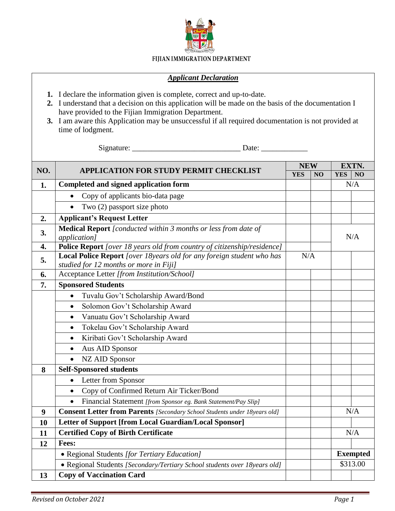

## FIJIAN IMMIGRATION DEPARTMENT

## *Applicant Declaration*

- **1.** I declare the information given is complete, correct and up-to-date.
- **2.** I understand that a decision on this application will be made on the basis of the documentation I have provided to the Fijian Immigration Department.
- **3.** I am aware this Application may be unsuccessful if all required documentation is not provided at time of lodgment.

Signature: \_\_\_\_\_\_\_\_\_\_\_\_\_\_\_\_\_\_\_\_\_\_\_\_\_\_\_\_ Date: \_\_\_\_\_\_\_\_\_\_\_\_

|     | <b>APPLICATION FOR STUDY PERMIT CHECKLIST</b>                                                                   | <b>NEW</b> |    | EXTN.           |                |
|-----|-----------------------------------------------------------------------------------------------------------------|------------|----|-----------------|----------------|
| NO. |                                                                                                                 | <b>YES</b> | NO | <b>YES</b>      | N <sub>O</sub> |
| 1.  | Completed and signed application form                                                                           |            |    |                 | N/A            |
|     | Copy of applicants bio-data page                                                                                |            |    |                 |                |
|     | Two (2) passport size photo<br>$\bullet$                                                                        |            |    |                 |                |
| 2.  | <b>Applicant's Request Letter</b>                                                                               |            |    |                 |                |
| 3.  | Medical Report [conducted within 3 months or less from date of<br><i>application]</i>                           |            |    | N/A             |                |
| 4.  | Police Report [over 18 years old from country of citizenship/residence]                                         |            |    |                 |                |
| 5.  | Local Police Report [over 18years old for any foreign student who has<br>studied for 12 months or more in Fiji] | N/A        |    |                 |                |
| 6.  | Acceptance Letter [from Institution/School]                                                                     |            |    |                 |                |
| 7.  | <b>Sponsored Students</b>                                                                                       |            |    |                 |                |
|     | Tuvalu Gov't Scholarship Award/Bond<br>$\bullet$                                                                |            |    |                 |                |
|     | Solomon Gov't Scholarship Award<br>$\bullet$                                                                    |            |    |                 |                |
|     | Vanuatu Gov't Scholarship Award<br>$\bullet$                                                                    |            |    |                 |                |
|     | Tokelau Gov't Scholarship Award<br>$\bullet$                                                                    |            |    |                 |                |
|     | Kiribati Gov't Scholarship Award<br>$\bullet$                                                                   |            |    |                 |                |
|     | Aus AID Sponsor<br>$\bullet$                                                                                    |            |    |                 |                |
|     | <b>NZ AID Sponsor</b><br>$\bullet$                                                                              |            |    |                 |                |
| 8   | <b>Self-Sponsored students</b>                                                                                  |            |    |                 |                |
|     | Letter from Sponsor<br>$\bullet$                                                                                |            |    |                 |                |
|     | Copy of Confirmed Return Air Ticker/Bond<br>$\bullet$                                                           |            |    |                 |                |
|     | Financial Statement [from Sponsor eg. Bank Statement/Pay Slip]<br>$\bullet$                                     |            |    |                 |                |
| 9   | <b>Consent Letter from Parents</b> [Secondary School Students under 18years old]                                |            |    |                 | N/A            |
| 10  | Letter of Support [from Local Guardian/Local Sponsor]                                                           |            |    |                 |                |
| 11  | <b>Certified Copy of Birth Certificate</b>                                                                      |            |    |                 | N/A            |
| 12  | Fees:                                                                                                           |            |    |                 |                |
|     | • Regional Students [for Tertiary Education]                                                                    |            |    | <b>Exempted</b> |                |
|     | • Regional Students [Secondary/Tertiary School students over 18years old]                                       |            |    | \$313.00        |                |
| 13  | <b>Copy of Vaccination Card</b>                                                                                 |            |    |                 |                |